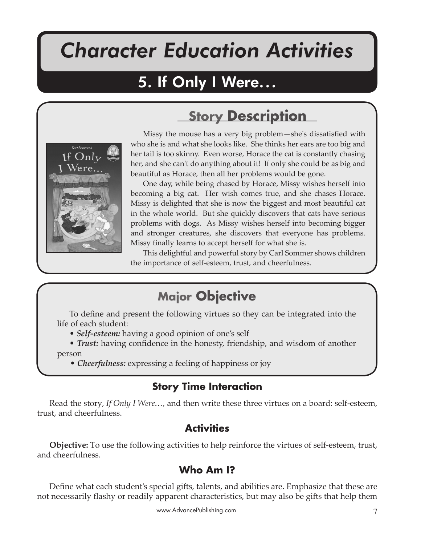# *Character Education Activities*

If Only I Were

# 5. If Only I Were...

## **Story Description**



Missy the mouse has a very big problem—she's dissatisfied with who she is and what she looks like. She thinks her ears are too big and her tail is too skinny. Even worse, Horace the cat is constantly chasing her, and she can't do anything about it! If only she could be as big and beautiful as Horace, then all her problems would be gone.

One day, while being chased by Horace, Missy wishes herself into becoming a big cat. Her wish comes true, and she chases Horace. Missy is delighted that she is now the biggest and most beautiful cat in the whole world. But she quickly discovers that cats have serious problems with dogs. As Missy wishes herself into becoming bigger and stronger creatures, she discovers that everyone has problems. Missy finally learns to accept herself for what she is.

This delightful and powerful story by Carl Sommer shows children the importance of self-esteem, trust, and cheerfulness.

### **Major Objective**

To define and present the following virtues so they can be integrated into the life of each student:

- *Self-esteem:* having a good opinion of one's self
- *Trust:* having confidence in the honesty, friendship, and wisdom of another person
	- *Cheerfulness:* expressing a feeling of happiness or joy

#### **Story Time Interaction**

Read the story, *If Only I Were...,* and then write these three virtues on a board: self-esteem, trust, and cheerfulness.

#### **Activities**

**Objective:** To use the following activities to help reinforce the virtues of self-esteem, trust, and cheerfulness.

#### **Who Am I?**

Define what each student's special gifts, talents, and abilities are. Emphasize that these are not necessarily flashy or readily apparent characteristics, but may also be gifts that help them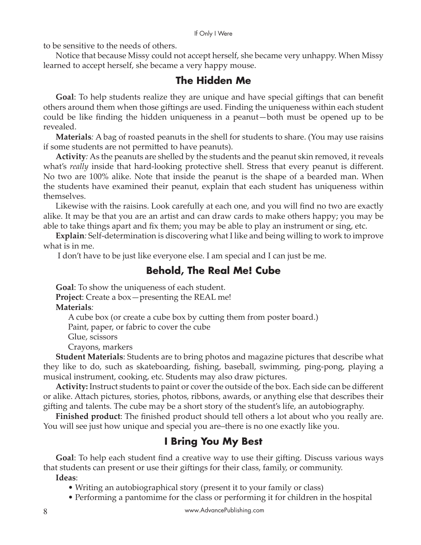If Only I Were

to be sensitive to the needs of others.

Notice that because Missy could not accept herself, she became very unhappy. When Missy learned to accept herself, she became a very happy mouse.

#### **The Hidden Me**

**Goal**: To help students realize they are unique and have special giftings that can benefit others around them when those giftings are used. Finding the uniqueness within each student could be like finding the hidden uniqueness in a peanut—both must be opened up to be revealed.

**Materials***:* A bag of roasted peanuts in the shell for students to share. (You may use raisins if some students are not permi�ed to have peanuts).

**Activity***:* As the peanuts are shelled by the students and the peanut skin removed, it reveals what's *really* inside that hard-looking protective shell. Stress that every peanut is different. No two are 100% alike. Note that inside the peanut is the shape of a bearded man. When the students have examined their peanut, explain that each student has uniqueness within themselves.

Likewise with the raisins. Look carefully at each one, and you will find no two are exactly alike. It may be that you are an artist and can draw cards to make others happy; you may be able to take things apart and fix them; you may be able to play an instrument or sing, etc.

**Explain***:* Self-determination is discovering what I like and being willing to work to improve what is in me.

I don't have to be just like everyone else. I am special and I can just be me.

#### **Behold, The Real Me! Cube**

**Goal**: To show the uniqueness of each student. **Project**: Create a box—presenting the REAL me! **Materials***:* A cube box (or create a cube box by cutting them from poster board.) Paint, paper, or fabric to cover the cube

Glue, scissors

Crayons, markers

**Student Materials**: Students are to bring photos and magazine pictures that describe what they like to do, such as skateboarding, fishing, baseball, swimming, ping-pong, playing a musical instrument, cooking, etc. Students may also draw pictures.

**Activity:** Instruct students to paint or cover the outside of the box. Each side can be different or alike. Attach pictures, stories, photos, ribbons, awards, or anything else that describes their gi�ing and talents. The cube may be a short story of the student's life, an autobiography.

**Finished product**: The finished product should tell others a lot about who you really are. You will see just how unique and special you are–there is no one exactly like you.

#### **I Bring You My Best**

**Goal**: To help each student find a creative way to use their gifting. Discuss various ways that students can present or use their giftings for their class, family, or community.

**Ideas**:

• Writing an autobiographical story (present it to your family or class)

• Performing a pantomime for the class or performing it for children in the hospital